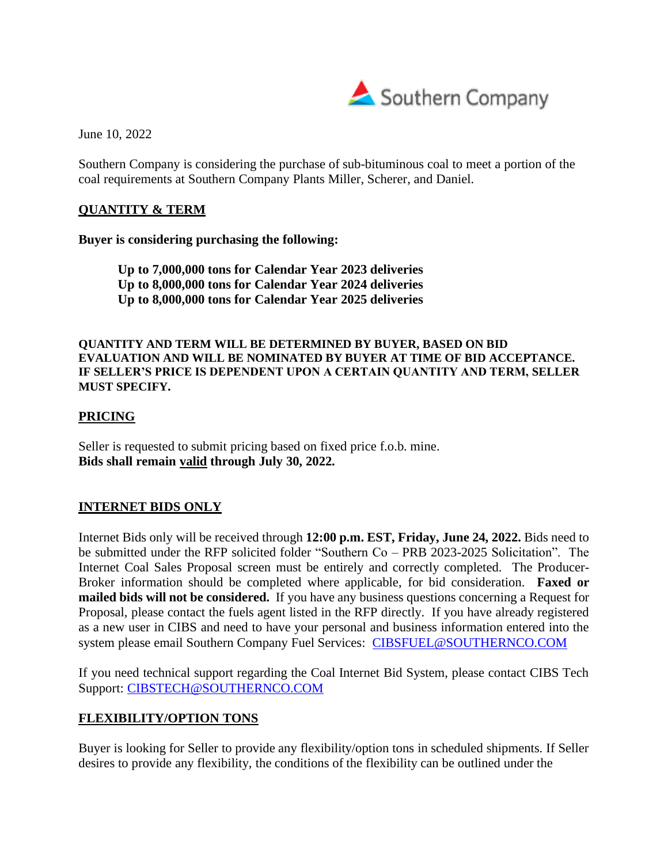

June 10, 2022

Southern Company is considering the purchase of sub-bituminous coal to meet a portion of the coal requirements at Southern Company Plants Miller, Scherer, and Daniel.

### **QUANTITY & TERM**

**Buyer is considering purchasing the following:**

**Up to 7,000,000 tons for Calendar Year 2023 deliveries Up to 8,000,000 tons for Calendar Year 2024 deliveries Up to 8,000,000 tons for Calendar Year 2025 deliveries**

**QUANTITY AND TERM WILL BE DETERMINED BY BUYER, BASED ON BID EVALUATION AND WILL BE NOMINATED BY BUYER AT TIME OF BID ACCEPTANCE. IF SELLER'S PRICE IS DEPENDENT UPON A CERTAIN QUANTITY AND TERM, SELLER MUST SPECIFY.**

### **PRICING**

Seller is requested to submit pricing based on fixed price f.o.b. mine. **Bids shall remain valid through July 30, 2022.**

## **INTERNET BIDS ONLY**

Internet Bids only will be received through **12:00 p.m. EST, Friday, June 24, 2022.** Bids need to be submitted under the RFP solicited folder "Southern Co – PRB 2023-2025 Solicitation". The Internet Coal Sales Proposal screen must be entirely and correctly completed. The Producer-Broker information should be completed where applicable, for bid consideration. **Faxed or mailed bids will not be considered.** If you have any business questions concerning a Request for Proposal, please contact the fuels agent listed in the RFP directly. If you have already registered as a new user in CIBS and need to have your personal and business information entered into the system please email Southern Company Fuel Services: [CIBSFUEL@SOUTHERNCO.COM](mailto:CIBSFUEL@southernco.com)

If you need technical support regarding the Coal Internet Bid System, please contact CIBS Tech Support: CIBSTECH@SOUTHERNCO.COM

## **FLEXIBILITY/OPTION TONS**

Buyer is looking for Seller to provide any flexibility/option tons in scheduled shipments. If Seller desires to provide any flexibility, the conditions of the flexibility can be outlined under the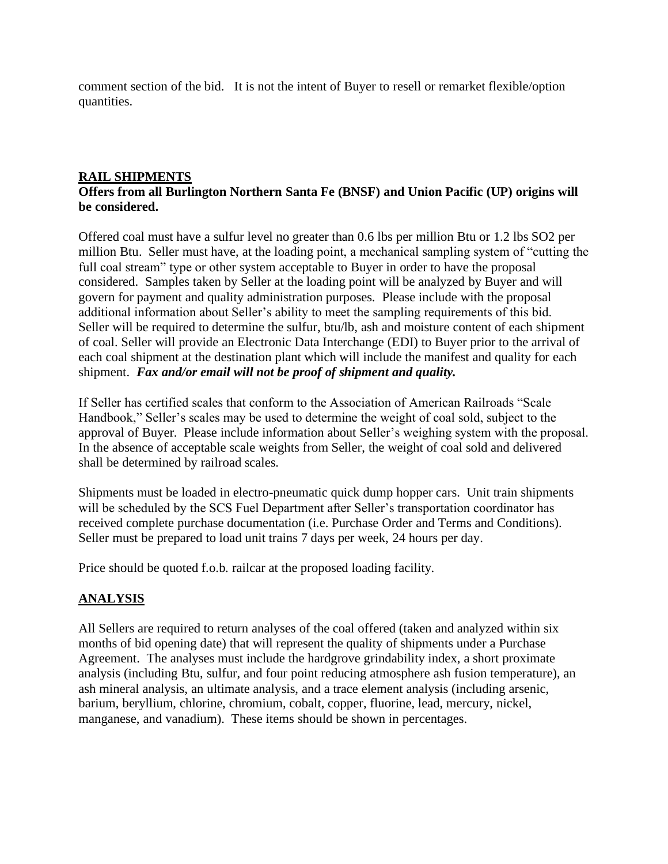comment section of the bid. It is not the intent of Buyer to resell or remarket flexible/option quantities.

#### **RAIL SHIPMENTS Offers from all Burlington Northern Santa Fe (BNSF) and Union Pacific (UP) origins will be considered.**

Offered coal must have a sulfur level no greater than 0.6 lbs per million Btu or 1.2 lbs SO2 per million Btu. Seller must have, at the loading point, a mechanical sampling system of "cutting the full coal stream" type or other system acceptable to Buyer in order to have the proposal considered. Samples taken by Seller at the loading point will be analyzed by Buyer and will govern for payment and quality administration purposes. Please include with the proposal additional information about Seller's ability to meet the sampling requirements of this bid. Seller will be required to determine the sulfur, btu/lb, ash and moisture content of each shipment of coal. Seller will provide an Electronic Data Interchange (EDI) to Buyer prior to the arrival of each coal shipment at the destination plant which will include the manifest and quality for each shipment. *Fax and/or email will not be proof of shipment and quality.*

If Seller has certified scales that conform to the Association of American Railroads "Scale Handbook," Seller's scales may be used to determine the weight of coal sold, subject to the approval of Buyer. Please include information about Seller's weighing system with the proposal. In the absence of acceptable scale weights from Seller, the weight of coal sold and delivered shall be determined by railroad scales.

Shipments must be loaded in electro-pneumatic quick dump hopper cars. Unit train shipments will be scheduled by the SCS Fuel Department after Seller's transportation coordinator has received complete purchase documentation (i.e. Purchase Order and Terms and Conditions). Seller must be prepared to load unit trains 7 days per week, 24 hours per day.

Price should be quoted f.o.b. railcar at the proposed loading facility.

# **ANALYSIS**

All Sellers are required to return analyses of the coal offered (taken and analyzed within six months of bid opening date) that will represent the quality of shipments under a Purchase Agreement. The analyses must include the hardgrove grindability index, a short proximate analysis (including Btu, sulfur, and four point reducing atmosphere ash fusion temperature), an ash mineral analysis, an ultimate analysis, and a trace element analysis (including arsenic, barium, beryllium, chlorine, chromium, cobalt, copper, fluorine, lead, mercury, nickel, manganese, and vanadium). These items should be shown in percentages.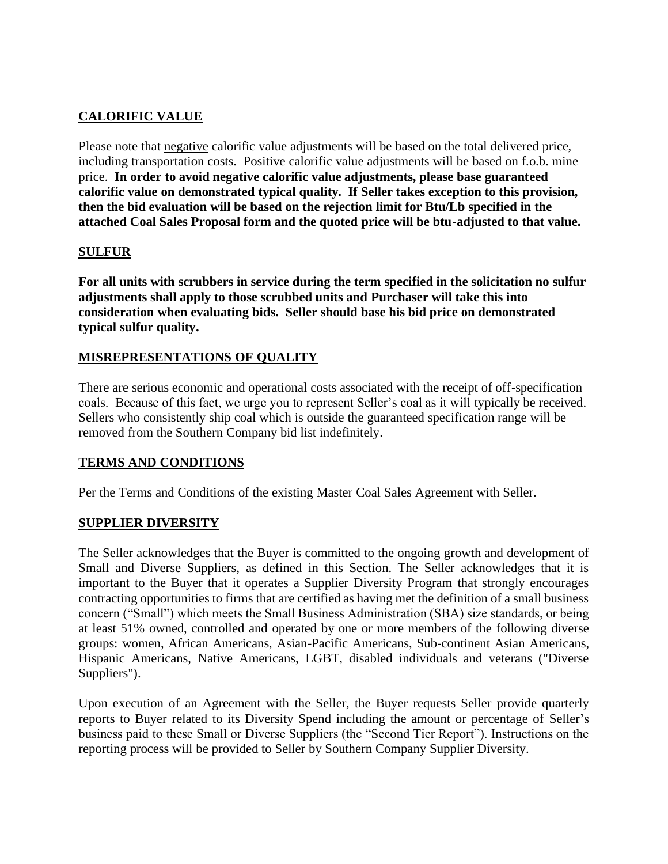# **CALORIFIC VALUE**

Please note that negative calorific value adjustments will be based on the total delivered price, including transportation costs. Positive calorific value adjustments will be based on f.o.b. mine price. **In order to avoid negative calorific value adjustments, please base guaranteed calorific value on demonstrated typical quality. If Seller takes exception to this provision, then the bid evaluation will be based on the rejection limit for Btu/Lb specified in the attached Coal Sales Proposal form and the quoted price will be btu-adjusted to that value.**

### **SULFUR**

**For all units with scrubbers in service during the term specified in the solicitation no sulfur adjustments shall apply to those scrubbed units and Purchaser will take this into consideration when evaluating bids. Seller should base his bid price on demonstrated typical sulfur quality.**

### **MISREPRESENTATIONS OF QUALITY**

There are serious economic and operational costs associated with the receipt of off-specification coals. Because of this fact, we urge you to represent Seller's coal as it will typically be received. Sellers who consistently ship coal which is outside the guaranteed specification range will be removed from the Southern Company bid list indefinitely.

#### **TERMS AND CONDITIONS**

Per the Terms and Conditions of the existing Master Coal Sales Agreement with Seller.

#### **SUPPLIER DIVERSITY**

The Seller acknowledges that the Buyer is committed to the ongoing growth and development of Small and Diverse Suppliers, as defined in this Section. The Seller acknowledges that it is important to the Buyer that it operates a Supplier Diversity Program that strongly encourages contracting opportunities to firms that are certified as having met the definition of a small business concern ("Small") which meets the Small Business Administration (SBA) size standards, or being at least 51% owned, controlled and operated by one or more members of the following diverse groups: women, African Americans, Asian-Pacific Americans, Sub-continent Asian Americans, Hispanic Americans, Native Americans, LGBT, disabled individuals and veterans ("Diverse Suppliers").

Upon execution of an Agreement with the Seller, the Buyer requests Seller provide quarterly reports to Buyer related to its Diversity Spend including the amount or percentage of Seller's business paid to these Small or Diverse Suppliers (the "Second Tier Report"). Instructions on the reporting process will be provided to Seller by Southern Company Supplier Diversity.